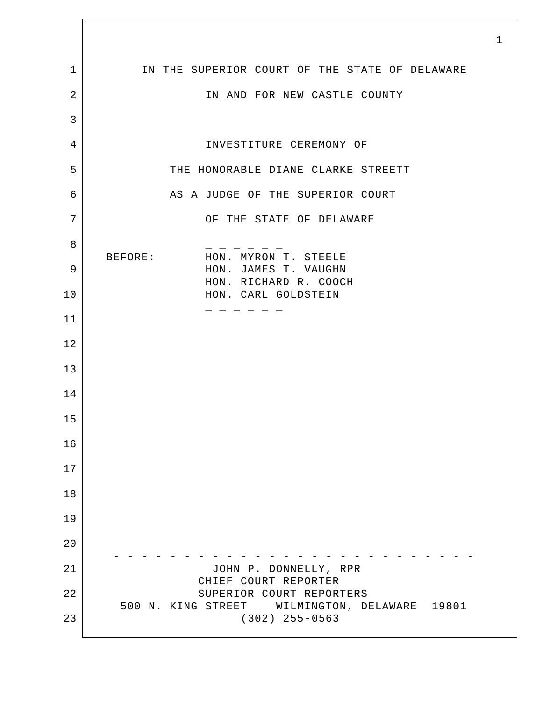|                | $\mathbf 1$                                                                  |
|----------------|------------------------------------------------------------------------------|
| $\mathbf 1$    | IN THE SUPERIOR COURT OF THE STATE OF DELAWARE                               |
| $\overline{2}$ | IN AND FOR NEW CASTLE COUNTY                                                 |
| 3              |                                                                              |
| 4              | INVESTITURE CEREMONY OF                                                      |
| 5              | THE HONORABLE DIANE CLARKE STREETT                                           |
| 6              | AS A JUDGE OF THE SUPERIOR COURT                                             |
| 7              | OF THE STATE OF DELAWARE                                                     |
| 8              | BEFORE:<br>HON. MYRON T. STEELE                                              |
| 9              | HON. JAMES T. VAUGHN<br>HON. RICHARD R. COOCH                                |
| 10             | HON. CARL GOLDSTEIN                                                          |
| 11             |                                                                              |
| 12             |                                                                              |
| 13             |                                                                              |
| 14             |                                                                              |
| 15             |                                                                              |
| 16             |                                                                              |
| 17             |                                                                              |
| 18             |                                                                              |
| 19             |                                                                              |
| 20             |                                                                              |
| 21             | JOHN P. DONNELLY, RPR<br>CHIEF COURT REPORTER                                |
| 22             | SUPERIOR COURT REPORTERS<br>500 N. KING STREET WILMINGTON, DELAWARE<br>19801 |
| 23             | $(302)$ 255-0563                                                             |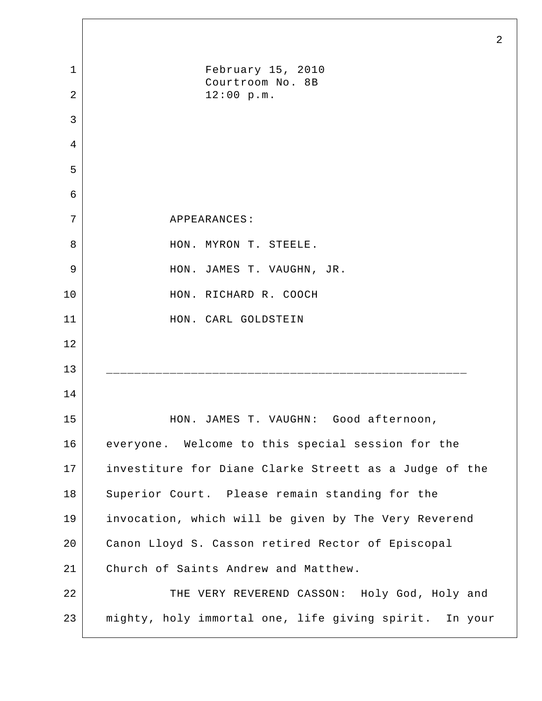|                | $\overline{2}$                                         |
|----------------|--------------------------------------------------------|
| $\mathbf 1$    | February 15, 2010                                      |
| $\overline{2}$ | Courtroom No. 8B<br>12:00 p.m.                         |
| 3              |                                                        |
| 4              |                                                        |
| 5              |                                                        |
| 6              |                                                        |
| 7              | APPEARANCES:                                           |
| 8              | HON. MYRON T. STEELE.                                  |
| 9              | HON. JAMES T. VAUGHN, JR.                              |
| 10             | HON. RICHARD R. COOCH                                  |
| 11             | HON. CARL GOLDSTEIN                                    |
| 12             |                                                        |
| 13             |                                                        |
| 14             |                                                        |
| 15             | HON. JAMES T. VAUGHN: Good afternoon,                  |
| 16             | everyone. Welcome to this special session for the      |
| 17             | investiture for Diane Clarke Streett as a Judge of the |
| 18             | Superior Court. Please remain standing for the         |
| 19             | invocation, which will be given by The Very Reverend   |
| 20             | Canon Lloyd S. Casson retired Rector of Episcopal      |
| 21             | Church of Saints Andrew and Matthew.                   |
| 22             | THE VERY REVEREND CASSON: Holy God, Holy and           |
| 23             | mighty, holy immortal one, life giving spirit. In your |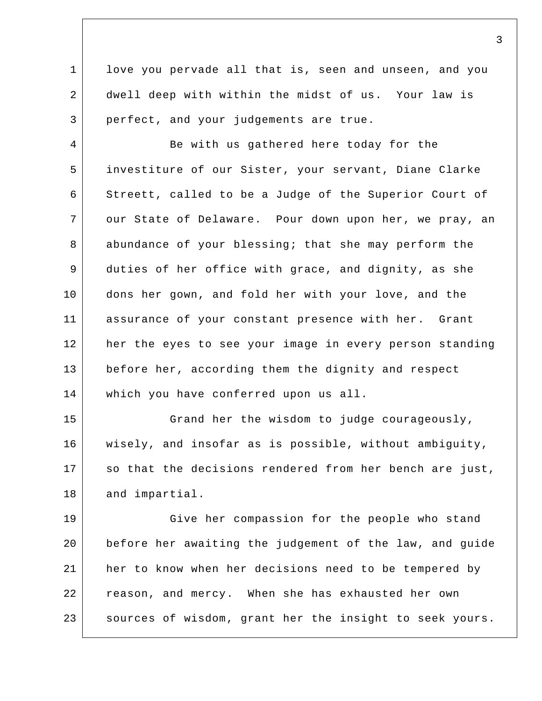1 2 3 love you pervade all that is, seen and unseen, and you dwell deep with within the midst of us. Your law is perfect, and your judgements are true.

4 5 6 7 8 9 10 11 12 13 14 Be with us gathered here today for the investiture of our Sister, your servant, Diane Clarke Streett, called to be a Judge of the Superior Court of our State of Delaware. Pour down upon her, we pray, an abundance of your blessing; that she may perform the duties of her office with grace, and dignity, as she dons her gown, and fold her with your love, and the assurance of your constant presence with her. Grant her the eyes to see your image in every person standing before her, according them the dignity and respect which you have conferred upon us all.

15 16 17 18 Grand her the wisdom to judge courageously, wisely, and insofar as is possible, without ambiguity, so that the decisions rendered from her bench are just, and impartial.

19 20 21 22 23 Give her compassion for the people who stand before her awaiting the judgement of the law, and guide her to know when her decisions need to be tempered by reason, and mercy. When she has exhausted her own sources of wisdom, grant her the insight to seek yours.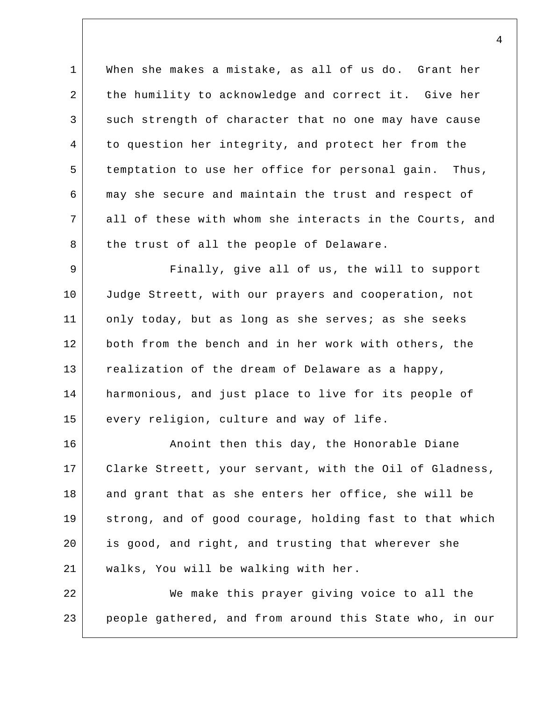1 2 3 4 5 6 7 8 When she makes a mistake, as all of us do. Grant her the humility to acknowledge and correct it. Give her such strength of character that no one may have cause to question her integrity, and protect her from the temptation to use her office for personal gain. Thus, may she secure and maintain the trust and respect of all of these with whom she interacts in the Courts, and the trust of all the people of Delaware.

9 10 11 12 13 14 15 Finally, give all of us, the will to support Judge Streett, with our prayers and cooperation, not only today, but as long as she serves; as she seeks both from the bench and in her work with others, the realization of the dream of Delaware as a happy, harmonious, and just place to live for its people of every religion, culture and way of life.

16 17 18 19 20 21 Anoint then this day, the Honorable Diane Clarke Streett, your servant, with the Oil of Gladness, and grant that as she enters her office, she will be strong, and of good courage, holding fast to that which is good, and right, and trusting that wherever she walks, You will be walking with her.

22 23 We make this prayer giving voice to all the people gathered, and from around this State who, in our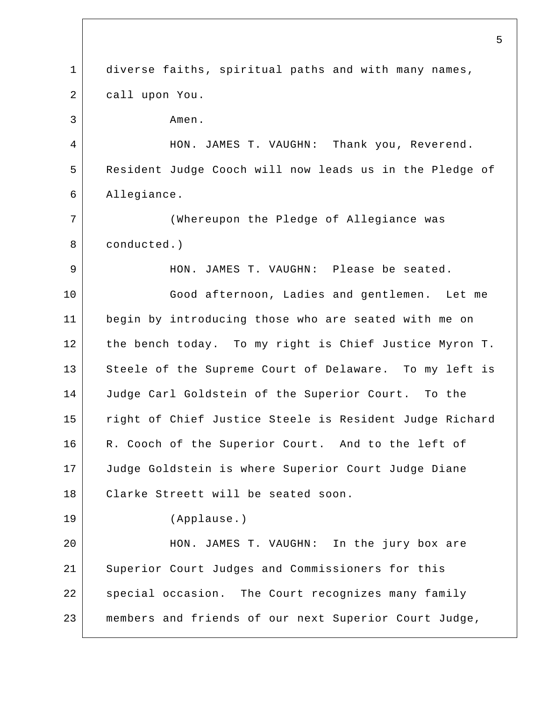1 2 3 4 5 6 7 8 9 10 11 12 13 14 15 16 17 18 19 20 21 22 23 5 diverse faiths, spiritual paths and with many names, call upon You. Amen. HON. JAMES T. VAUGHN: Thank you, Reverend. Resident Judge Cooch will now leads us in the Pledge of Allegiance. (Whereupon the Pledge of Allegiance was conducted.) HON. JAMES T. VAUGHN: Please be seated. Good afternoon, Ladies and gentlemen. Let me begin by introducing those who are seated with me on the bench today. To my right is Chief Justice Myron T. Steele of the Supreme Court of Delaware. To my left is Judge Carl Goldstein of the Superior Court. To the right of Chief Justice Steele is Resident Judge Richard R. Cooch of the Superior Court. And to the left of Judge Goldstein is where Superior Court Judge Diane Clarke Streett will be seated soon. (Applause.) HON. JAMES T. VAUGHN: In the jury box are Superior Court Judges and Commissioners for this special occasion. The Court recognizes many family members and friends of our next Superior Court Judge,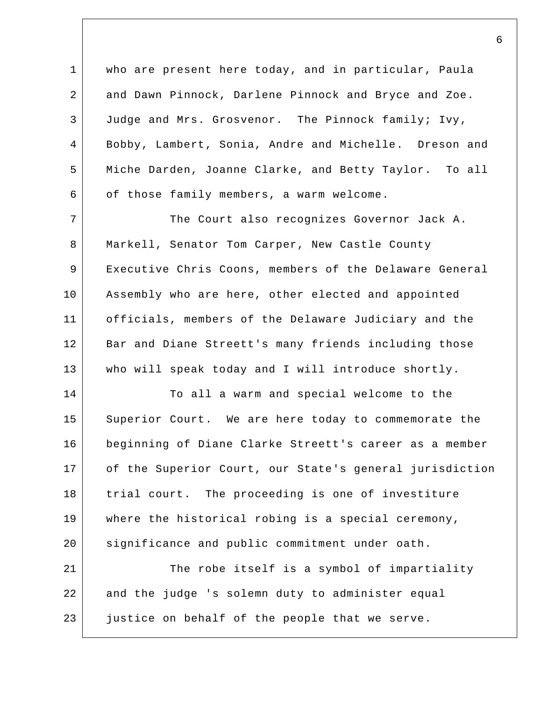1 2 3 4 5 6 who are present here today, and in particular, Paula and Dawn Pinnock, Darlene Pinnock and Bryce and Zoe. Judge and Mrs. Grosvenor. The Pinnock family; Ivy, Bobby, Lambert, Sonia, Andre and Michelle. Dreson and Miche Darden, Joanne Clarke, and Betty Taylor. To all of those family members, a warm welcome.

7 8 9 10 11 12 13 The Court also recognizes Governor Jack A. Markell, Senator Tom Carper, New Castle County Executive Chris Coons, members of the Delaware General Assembly who are here, other elected and appointed officials, members of the Delaware Judiciary and the Bar and Diane Streett's many friends including those who will speak today and I will introduce shortly.

14 15 16 17 18 19 20 To all a warm and special welcome to the Superior Court. We are here today to commemorate the beginning of Diane Clarke Streett's career as a member of the Superior Court, our State's general jurisdiction trial court. The proceeding is one of investiture where the historical robing is a special ceremony, significance and public commitment under oath.

21 22 23 The robe itself is a symbol of impartiality and the judge 's solemn duty to administer equal justice on behalf of the people that we serve.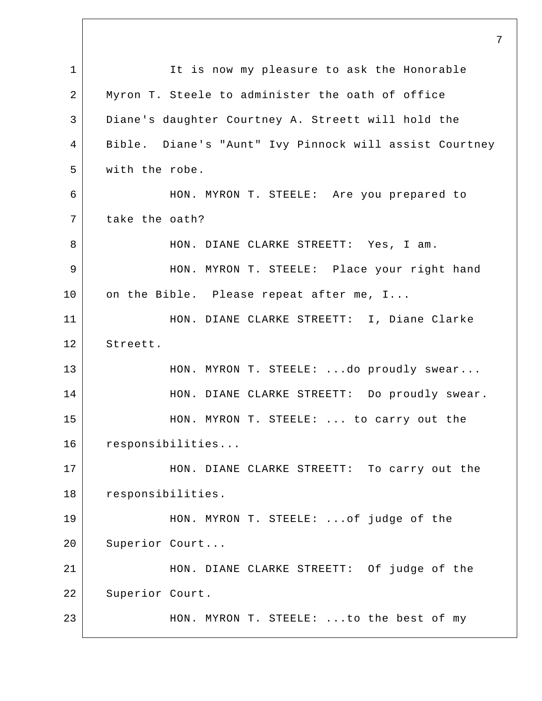1 2 3 4 5 6 7 8 9 10 11 12 13 14 15 16 17 18 19 20 21 22 23 7 It is now my pleasure to ask the Honorable Myron T. Steele to administer the oath of office Diane's daughter Courtney A. Streett will hold the Bible. Diane's "Aunt" Ivy Pinnock will assist Courtney with the robe. HON. MYRON T. STEELE: Are you prepared to take the oath? HON. DIANE CLARKE STREETT: Yes, I am. HON. MYRON T. STEELE: Place your right hand on the Bible. Please repeat after me, I... HON. DIANE CLARKE STREETT: I, Diane Clarke Streett. HON. MYRON T. STEELE: ...do proudly swear... HON. DIANE CLARKE STREETT: Do proudly swear. HON. MYRON T. STEELE: ... to carry out the responsibilities... HON. DIANE CLARKE STREETT: To carry out the responsibilities. HON. MYRON T. STEELE: ...of judge of the Superior Court... HON. DIANE CLARKE STREETT: Of judge of the Superior Court. HON. MYRON T. STEELE: ...to the best of my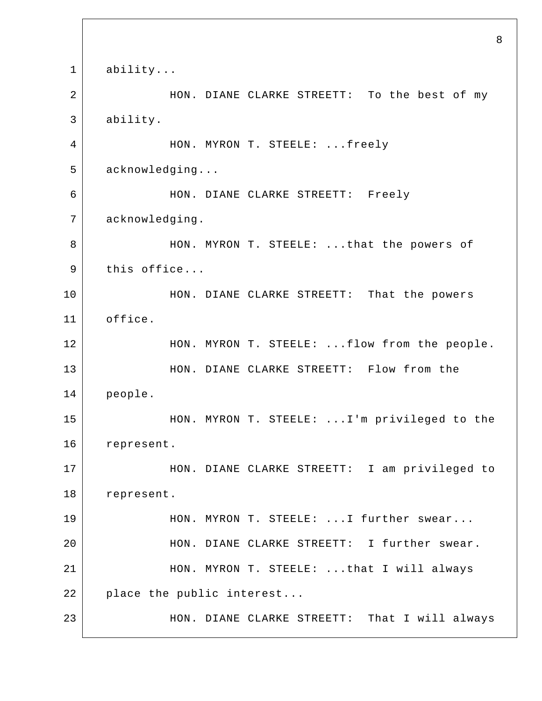1 2 3 4 5 6 7 8 9 10 11 12 13 14 15 16 17 18 19 20 21 22 23 8 ability... HON. DIANE CLARKE STREETT: To the best of my ability. HON. MYRON T. STEELE: ...freely acknowledging... HON. DIANE CLARKE STREETT: Freely acknowledging. HON. MYRON T. STEELE: ...that the powers of this office... HON. DIANE CLARKE STREETT: That the powers office. HON. MYRON T. STEELE: ...flow from the people. HON. DIANE CLARKE STREETT: Flow from the people. HON. MYRON T. STEELE: ...I'm privileged to the represent. HON. DIANE CLARKE STREETT: I am privileged to represent. HON. MYRON T. STEELE: ...I further swear... HON. DIANE CLARKE STREETT: I further swear. HON. MYRON T. STEELE: ...that I will always place the public interest... HON. DIANE CLARKE STREETT: That I will always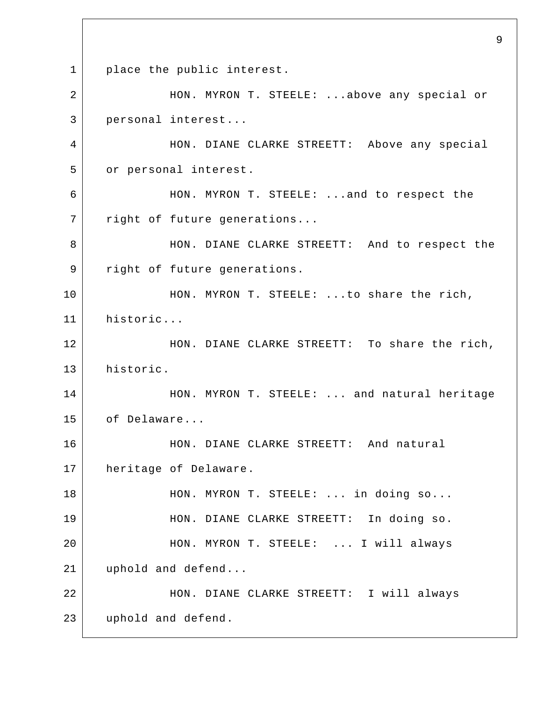1 2 3 4 5 6 7 8 9 10 11 12 13 14 15 16 17 18 19 20 21 22 23 9 place the public interest. HON. MYRON T. STEELE: ...above any special or personal interest... HON. DIANE CLARKE STREETT: Above any special or personal interest. HON. MYRON T. STEELE: ...and to respect the right of future generations... HON. DIANE CLARKE STREETT: And to respect the right of future generations. HON. MYRON T. STEELE: ...to share the rich, historic... HON. DIANE CLARKE STREETT: To share the rich, historic. HON. MYRON T. STEELE: ... and natural heritage of Delaware... HON. DIANE CLARKE STREETT: And natural heritage of Delaware. HON. MYRON T. STEELE: ... in doing so... HON. DIANE CLARKE STREETT: In doing so. HON. MYRON T. STEELE: ... I will always uphold and defend... HON. DIANE CLARKE STREETT: I will always uphold and defend.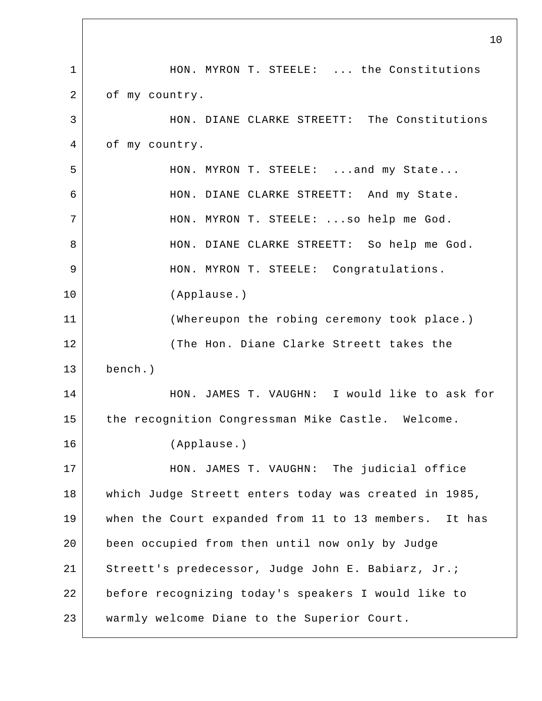|              | 10                                                    |
|--------------|-------------------------------------------------------|
| $\mathbf{1}$ | HON. MYRON T. STEELE:  the Constitutions              |
| 2            | of my country.                                        |
| 3            | HON. DIANE CLARKE STREETT: The Constitutions          |
| 4            | of my country.                                        |
| 5            | HON. MYRON T. STEELE:  and my State                   |
| 6            | HON. DIANE CLARKE STREETT: And my State.              |
| 7            | HON. MYRON T. STEELE:  so help me God.                |
| 8            | HON. DIANE CLARKE STREETT: So help me God.            |
| 9            | HON. MYRON T. STEELE: Congratulations.                |
| 10           | (Applause.)                                           |
| 11           | (Whereupon the robing ceremony took place.)           |
| 12           | (The Hon. Diane Clarke Streett takes the              |
| 13           | bench.)                                               |
| 14           | HON. JAMES T. VAUGHN: I would like to ask for         |
| 15           | the recognition Congressman Mike Castle. Welcome.     |
| 16           | (Applause.)                                           |
| 17           | HON. JAMES T. VAUGHN: The judicial office             |
| 18           | which Judge Streett enters today was created in 1985, |
| 19           | when the Court expanded from 11 to 13 members. It has |
| 20           | been occupied from then until now only by Judge       |
| 21           | Streett's predecessor, Judge John E. Babiarz, Jr.;    |
| 22           | before recognizing today's speakers I would like to   |
| 23           | warmly welcome Diane to the Superior Court.           |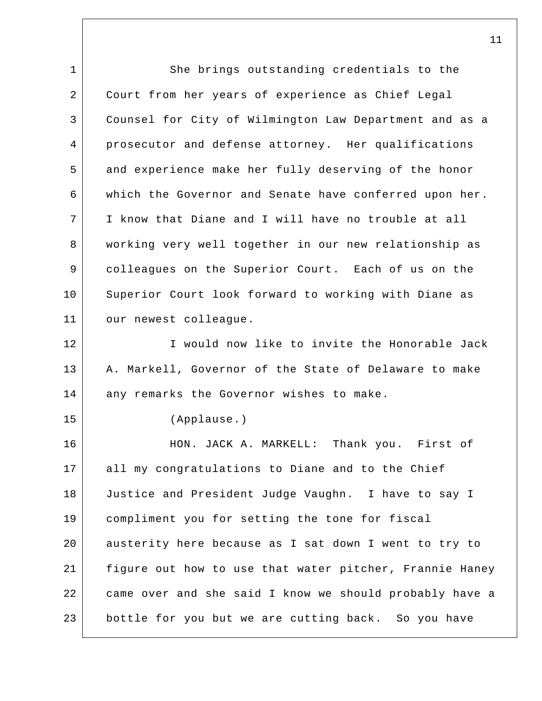1 2 3 4 5 6 7 8 9 10 11 12 13 14 15 16 17 18 19 20 21 22 23 She brings outstanding credentials to the Court from her years of experience as Chief Legal Counsel for City of Wilmington Law Department and as a prosecutor and defense attorney. Her qualifications and experience make her fully deserving of the honor which the Governor and Senate have conferred upon her. I know that Diane and I will have no trouble at all working very well together in our new relationship as colleagues on the Superior Court. Each of us on the Superior Court look forward to working with Diane as our newest colleague. I would now like to invite the Honorable Jack A. Markell, Governor of the State of Delaware to make any remarks the Governor wishes to make. (Applause.) HON. JACK A. MARKELL: Thank you. First of all my congratulations to Diane and to the Chief Justice and President Judge Vaughn. I have to say I compliment you for setting the tone for fiscal austerity here because as I sat down I went to try to figure out how to use that water pitcher, Frannie Haney came over and she said I know we should probably have a bottle for you but we are cutting back. So you have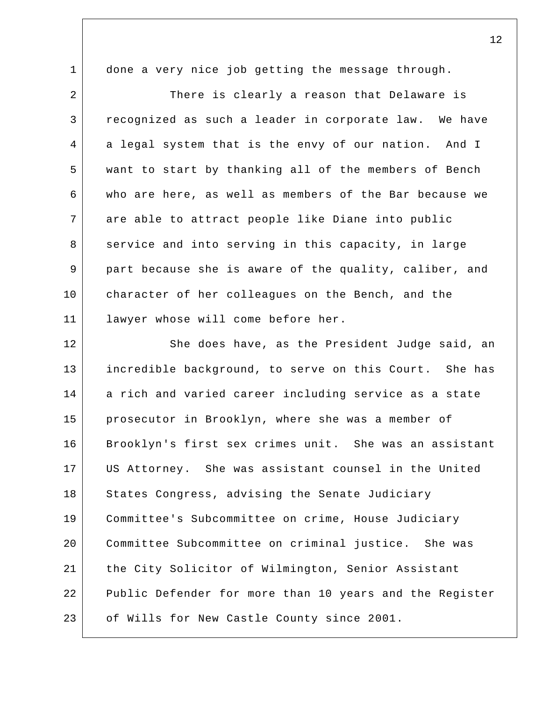done a very nice job getting the message through.

1

2 3 4 5 6 7 8 9 10 11 There is clearly a reason that Delaware is recognized as such a leader in corporate law. We have a legal system that is the envy of our nation. And I want to start by thanking all of the members of Bench who are here, as well as members of the Bar because we are able to attract people like Diane into public service and into serving in this capacity, in large part because she is aware of the quality, caliber, and character of her colleagues on the Bench, and the lawyer whose will come before her.

12 13 14 15 16 17 18 19 20 21 22 23 She does have, as the President Judge said, an incredible background, to serve on this Court. She has a rich and varied career including service as a state prosecutor in Brooklyn, where she was a member of Brooklyn's first sex crimes unit. She was an assistant US Attorney. She was assistant counsel in the United States Congress, advising the Senate Judiciary Committee's Subcommittee on crime, House Judiciary Committee Subcommittee on criminal justice. She was the City Solicitor of Wilmington, Senior Assistant Public Defender for more than 10 years and the Register of Wills for New Castle County since 2001.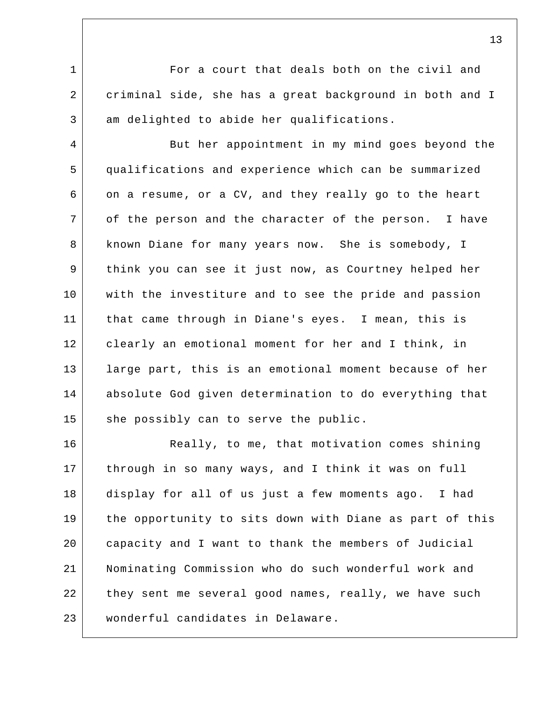1 2 3 For a court that deals both on the civil and criminal side, she has a great background in both and I am delighted to abide her qualifications.

4 5 6 7 8 9 10 11 12 13 14 15 But her appointment in my mind goes beyond the qualifications and experience which can be summarized on a resume, or a CV, and they really go to the heart of the person and the character of the person. I have known Diane for many years now. She is somebody, I think you can see it just now, as Courtney helped her with the investiture and to see the pride and passion that came through in Diane's eyes. I mean, this is clearly an emotional moment for her and I think, in large part, this is an emotional moment because of her absolute God given determination to do everything that she possibly can to serve the public.

16 17 18 19 20 21 22 23 Really, to me, that motivation comes shining through in so many ways, and I think it was on full display for all of us just a few moments ago. I had the opportunity to sits down with Diane as part of this capacity and I want to thank the members of Judicial Nominating Commission who do such wonderful work and they sent me several good names, really, we have such wonderful candidates in Delaware.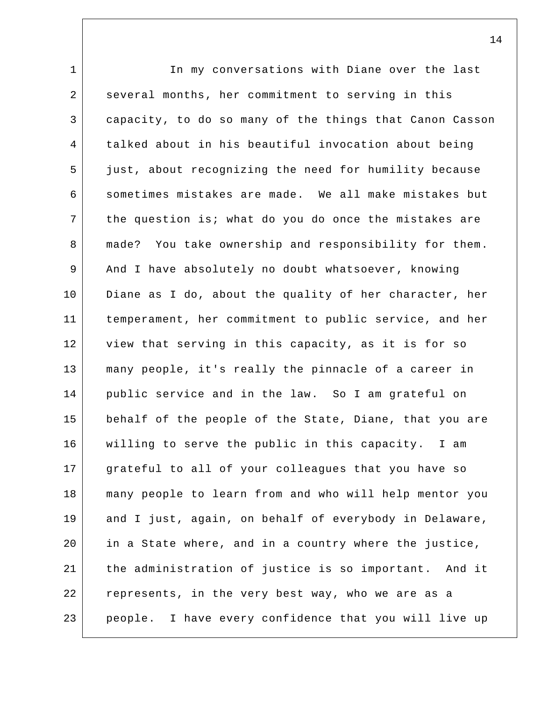1 2 3 4 5 6 7 8 9 10 11 12 13 14 15 16 17 18 19 20 21 22 23 In my conversations with Diane over the last several months, her commitment to serving in this capacity, to do so many of the things that Canon Casson talked about in his beautiful invocation about being just, about recognizing the need for humility because sometimes mistakes are made. We all make mistakes but the question is; what do you do once the mistakes are made? You take ownership and responsibility for them. And I have absolutely no doubt whatsoever, knowing Diane as I do, about the quality of her character, her temperament, her commitment to public service, and her view that serving in this capacity, as it is for so many people, it's really the pinnacle of a career in public service and in the law. So I am grateful on behalf of the people of the State, Diane, that you are willing to serve the public in this capacity. I am grateful to all of your colleagues that you have so many people to learn from and who will help mentor you and I just, again, on behalf of everybody in Delaware, in a State where, and in a country where the justice, the administration of justice is so important. And it represents, in the very best way, who we are as a people. I have every confidence that you will live up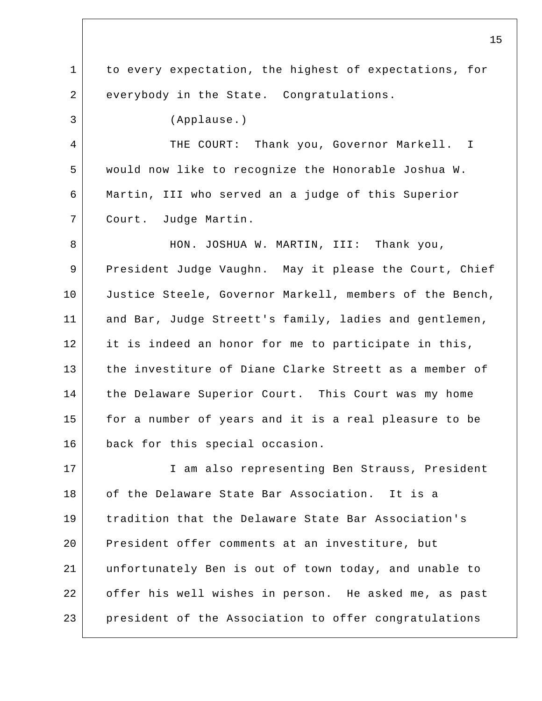1 2 3 4 5 6 7 8 9 10 11 12 13 14 15 16 17 18 19 20 21 22 23 to every expectation, the highest of expectations, for everybody in the State. Congratulations. (Applause.) THE COURT: Thank you, Governor Markell. I would now like to recognize the Honorable Joshua W. Martin, III who served an a judge of this Superior Court. Judge Martin. HON. JOSHUA W. MARTIN, III: Thank you, President Judge Vaughn. May it please the Court, Chief Justice Steele, Governor Markell, members of the Bench, and Bar, Judge Streett's family, ladies and gentlemen, it is indeed an honor for me to participate in this, the investiture of Diane Clarke Streett as a member of the Delaware Superior Court. This Court was my home for a number of years and it is a real pleasure to be back for this special occasion. I am also representing Ben Strauss, President of the Delaware State Bar Association. It is a tradition that the Delaware State Bar Association's President offer comments at an investiture, but unfortunately Ben is out of town today, and unable to offer his well wishes in person. He asked me, as past president of the Association to offer congratulations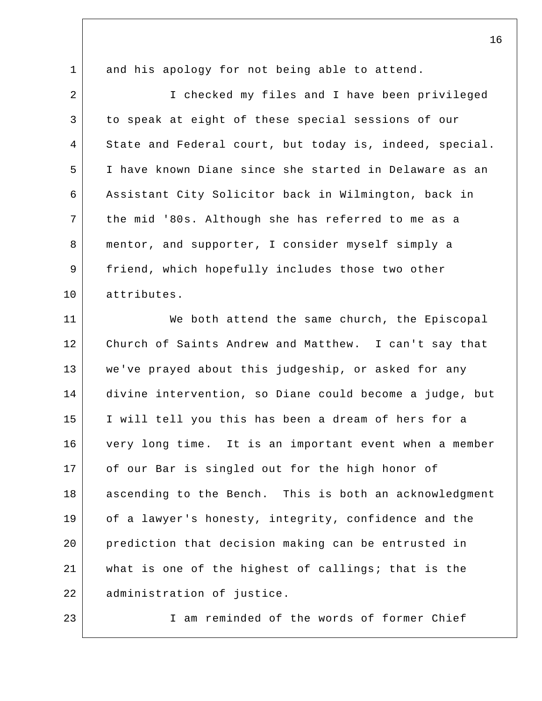and his apology for not being able to attend.

1

23

2 3 4 5 6 7 8 9 10 I checked my files and I have been privileged to speak at eight of these special sessions of our State and Federal court, but today is, indeed, special. I have known Diane since she started in Delaware as an Assistant City Solicitor back in Wilmington, back in the mid '80s. Although she has referred to me as a mentor, and supporter, I consider myself simply a friend, which hopefully includes those two other attributes.

11 12 13 14 15 16 17 18 19 20 21 22 We both attend the same church, the Episcopal Church of Saints Andrew and Matthew. I can't say that we've prayed about this judgeship, or asked for any divine intervention, so Diane could become a judge, but I will tell you this has been a dream of hers for a very long time. It is an important event when a member of our Bar is singled out for the high honor of ascending to the Bench. This is both an acknowledgment of a lawyer's honesty, integrity, confidence and the prediction that decision making can be entrusted in what is one of the highest of callings; that is the administration of justice.

I am reminded of the words of former Chief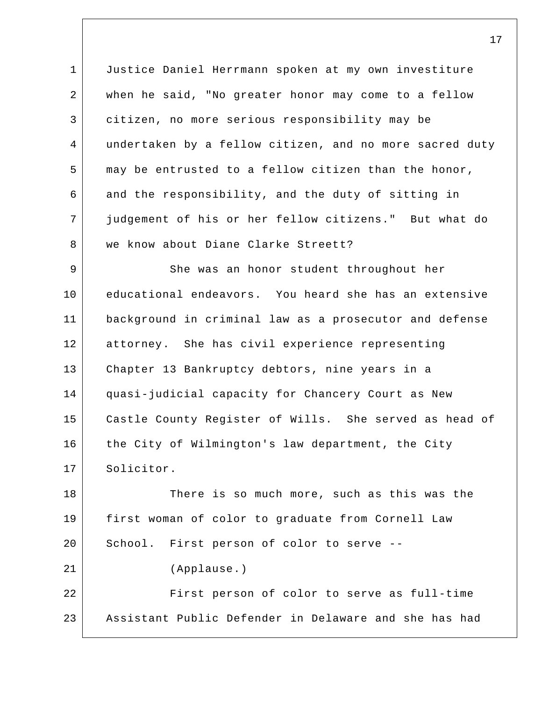1 2 3 4 5 6 7 8 Justice Daniel Herrmann spoken at my own investiture when he said, "No greater honor may come to a fellow citizen, no more serious responsibility may be undertaken by a fellow citizen, and no more sacred duty may be entrusted to a fellow citizen than the honor, and the responsibility, and the duty of sitting in judgement of his or her fellow citizens." But what do we know about Diane Clarke Streett?

9 10 11 12 13 14 15 16 17 She was an honor student throughout her educational endeavors. You heard she has an extensive background in criminal law as a prosecutor and defense attorney. She has civil experience representing Chapter 13 Bankruptcy debtors, nine years in a quasi-judicial capacity for Chancery Court as New Castle County Register of Wills. She served as head of the City of Wilmington's law department, the City Solicitor.

18 19 20 21 22 23 There is so much more, such as this was the first woman of color to graduate from Cornell Law School. First person of color to serve -- (Applause.) First person of color to serve as full-time Assistant Public Defender in Delaware and she has had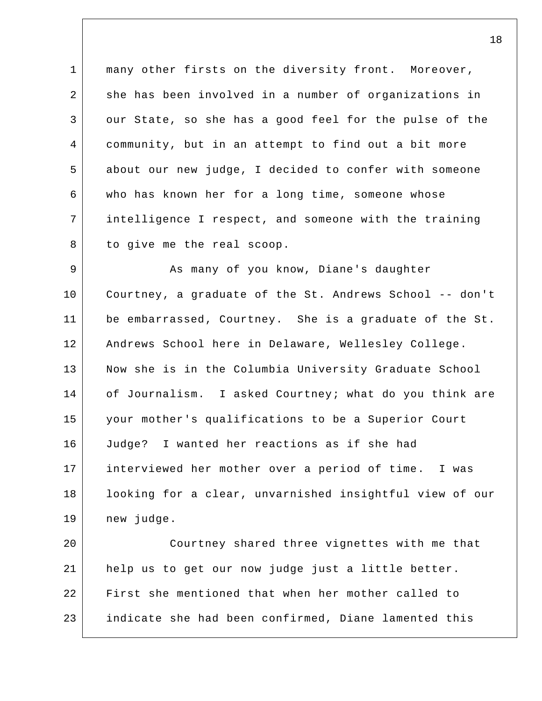1 2 3 4 5 6 7 8 many other firsts on the diversity front. Moreover, she has been involved in a number of organizations in our State, so she has a good feel for the pulse of the community, but in an attempt to find out a bit more about our new judge, I decided to confer with someone who has known her for a long time, someone whose intelligence I respect, and someone with the training to give me the real scoop.

9 10 11 12 13 14 15 16 17 18 19 As many of you know, Diane's daughter Courtney, a graduate of the St. Andrews School -- don't be embarrassed, Courtney. She is a graduate of the St. Andrews School here in Delaware, Wellesley College. Now she is in the Columbia University Graduate School of Journalism. I asked Courtney; what do you think are your mother's qualifications to be a Superior Court Judge? I wanted her reactions as if she had interviewed her mother over a period of time. I was looking for a clear, unvarnished insightful view of our new judge.

20 21 22 23 Courtney shared three vignettes with me that help us to get our now judge just a little better. First she mentioned that when her mother called to indicate she had been confirmed, Diane lamented this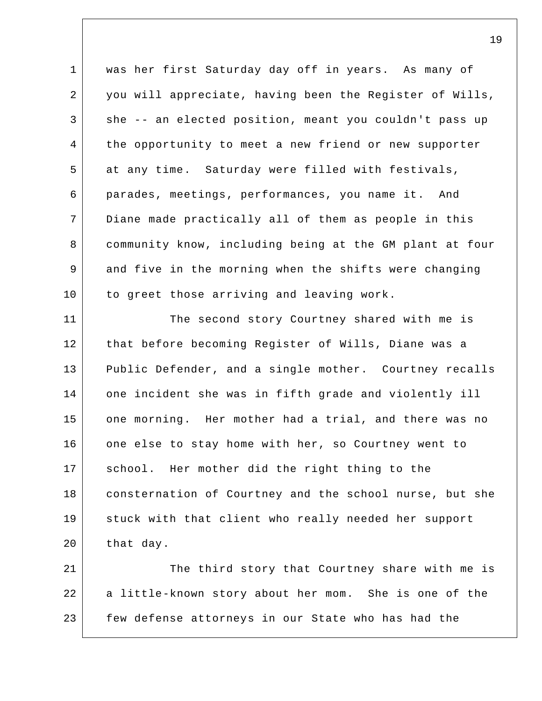1 2 3 4 5 6 7 8 9 10 was her first Saturday day off in years. As many of you will appreciate, having been the Register of Wills, she -- an elected position, meant you couldn't pass up the opportunity to meet a new friend or new supporter at any time. Saturday were filled with festivals, parades, meetings, performances, you name it. And Diane made practically all of them as people in this community know, including being at the GM plant at four and five in the morning when the shifts were changing to greet those arriving and leaving work.

11 12 13 14 15 16 17 18 19 20 The second story Courtney shared with me is that before becoming Register of Wills, Diane was a Public Defender, and a single mother. Courtney recalls one incident she was in fifth grade and violently ill one morning. Her mother had a trial, and there was no one else to stay home with her, so Courtney went to school. Her mother did the right thing to the consternation of Courtney and the school nurse, but she stuck with that client who really needed her support that day.

21 22 23 The third story that Courtney share with me is a little-known story about her mom. She is one of the few defense attorneys in our State who has had the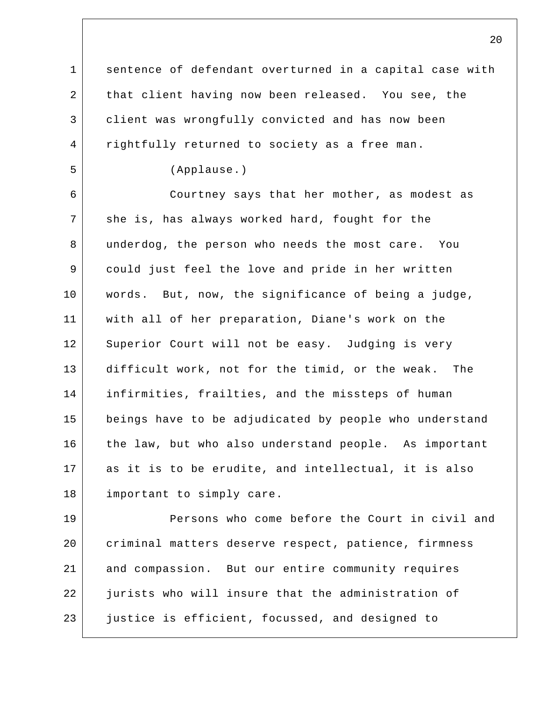1 2 3 4 5 6 7 8 9 10 11 12 13 14 15 16 17 18 19 20 21 22 sentence of defendant overturned in a capital case with that client having now been released. You see, the client was wrongfully convicted and has now been rightfully returned to society as a free man. (Applause.) Courtney says that her mother, as modest as she is, has always worked hard, fought for the underdog, the person who needs the most care. You could just feel the love and pride in her written words. But, now, the significance of being a judge, with all of her preparation, Diane's work on the Superior Court will not be easy. Judging is very difficult work, not for the timid, or the weak. The infirmities, frailties, and the missteps of human beings have to be adjudicated by people who understand the law, but who also understand people. As important as it is to be erudite, and intellectual, it is also important to simply care. Persons who come before the Court in civil and criminal matters deserve respect, patience, firmness and compassion. But our entire community requires jurists who will insure that the administration of

justice is efficient, focussed, and designed to

23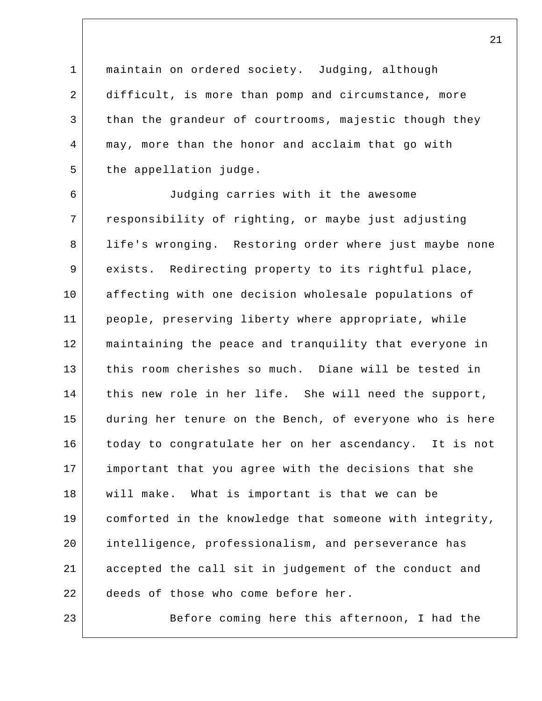1 2 3 4 5 maintain on ordered society. Judging, although difficult, is more than pomp and circumstance, more than the grandeur of courtrooms, majestic though they may, more than the honor and acclaim that go with the appellation judge.

6 7 8 9 10 11 12 13 14 15 16 17 18 19 20 21 22 Judging carries with it the awesome responsibility of righting, or maybe just adjusting life's wronging. Restoring order where just maybe none exists. Redirecting property to its rightful place, affecting with one decision wholesale populations of people, preserving liberty where appropriate, while maintaining the peace and tranquility that everyone in this room cherishes so much. Diane will be tested in this new role in her life. She will need the support, during her tenure on the Bench, of everyone who is here today to congratulate her on her ascendancy. It is not important that you agree with the decisions that she will make. What is important is that we can be comforted in the knowledge that someone with integrity, intelligence, professionalism, and perseverance has accepted the call sit in judgement of the conduct and deeds of those who come before her.

Before coming here this afternoon, I had the

23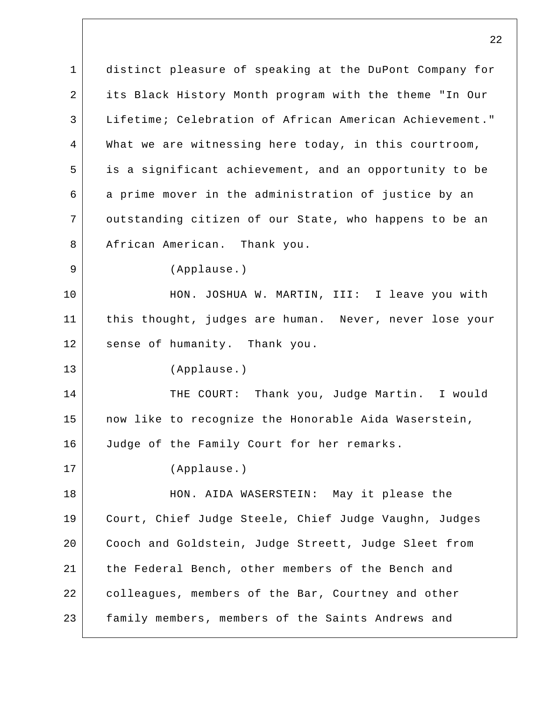1 2 3 4 5 6 7 8 9 10 11 12 13 14 15 16 17 18 19 20 21 22 23 distinct pleasure of speaking at the DuPont Company for its Black History Month program with the theme "In Our Lifetime; Celebration of African American Achievement." What we are witnessing here today, in this courtroom, is a significant achievement, and an opportunity to be a prime mover in the administration of justice by an outstanding citizen of our State, who happens to be an African American. Thank you. (Applause.) HON. JOSHUA W. MARTIN, III: I leave you with this thought, judges are human. Never, never lose your sense of humanity. Thank you. (Applause.) THE COURT: Thank you, Judge Martin. I would now like to recognize the Honorable Aida Waserstein, Judge of the Family Court for her remarks. (Applause.) HON. AIDA WASERSTEIN: May it please the Court, Chief Judge Steele, Chief Judge Vaughn, Judges Cooch and Goldstein, Judge Streett, Judge Sleet from the Federal Bench, other members of the Bench and colleagues, members of the Bar, Courtney and other family members, members of the Saints Andrews and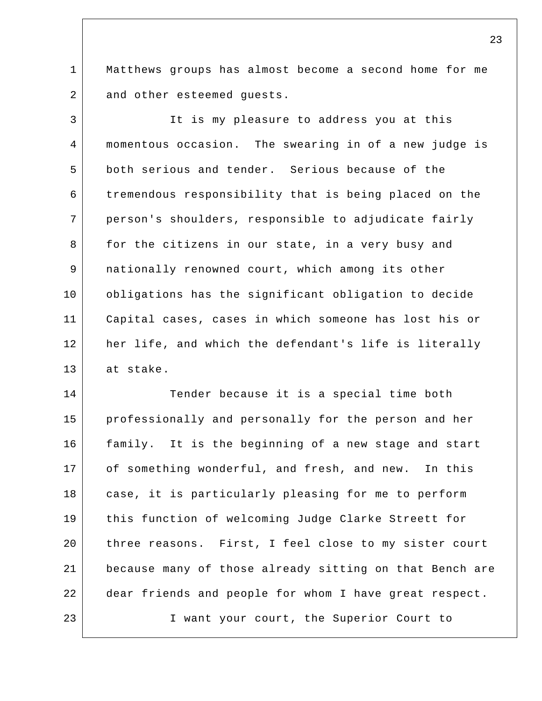1 2 Matthews groups has almost become a second home for me and other esteemed guests.

3 4 5 6 7 8 9 10 11 12 13 It is my pleasure to address you at this momentous occasion. The swearing in of a new judge is both serious and tender. Serious because of the tremendous responsibility that is being placed on the person's shoulders, responsible to adjudicate fairly for the citizens in our state, in a very busy and nationally renowned court, which among its other obligations has the significant obligation to decide Capital cases, cases in which someone has lost his or her life, and which the defendant's life is literally at stake.

14 15 16 17 18 19 20 21 22 23 Tender because it is a special time both professionally and personally for the person and her family. It is the beginning of a new stage and start of something wonderful, and fresh, and new. In this case, it is particularly pleasing for me to perform this function of welcoming Judge Clarke Streett for three reasons. First, I feel close to my sister court because many of those already sitting on that Bench are dear friends and people for whom I have great respect. I want your court, the Superior Court to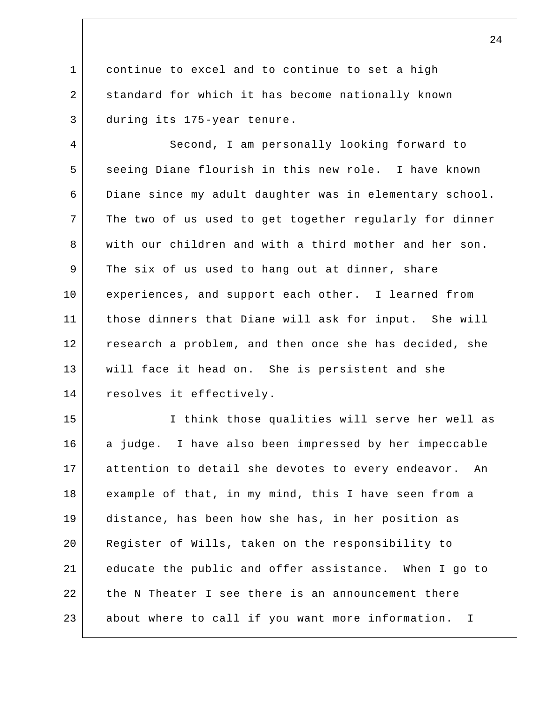1 2 3 continue to excel and to continue to set a high standard for which it has become nationally known during its 175-year tenure.

4 5 6 7 8 9 10 11 12 13 14 Second, I am personally looking forward to seeing Diane flourish in this new role. I have known Diane since my adult daughter was in elementary school. The two of us used to get together regularly for dinner with our children and with a third mother and her son. The six of us used to hang out at dinner, share experiences, and support each other. I learned from those dinners that Diane will ask for input. She will research a problem, and then once she has decided, she will face it head on. She is persistent and she resolves it effectively.

15 16 17 18 19 20 21 22 23 I think those qualities will serve her well as a judge. I have also been impressed by her impeccable attention to detail she devotes to every endeavor. An example of that, in my mind, this I have seen from a distance, has been how she has, in her position as Register of Wills, taken on the responsibility to educate the public and offer assistance. When I go to the N Theater I see there is an announcement there about where to call if you want more information. I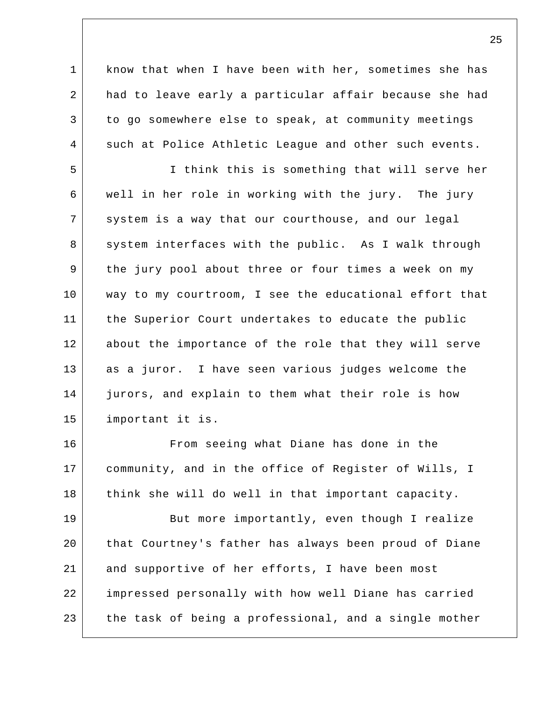1 2 3 4 know that when I have been with her, sometimes she has had to leave early a particular affair because she had to go somewhere else to speak, at community meetings such at Police Athletic League and other such events.

5 6 7 8 9 10 11 12 13 14 15 I think this is something that will serve her well in her role in working with the jury. The jury system is a way that our courthouse, and our legal system interfaces with the public. As I walk through the jury pool about three or four times a week on my way to my courtroom, I see the educational effort that the Superior Court undertakes to educate the public about the importance of the role that they will serve as a juror. I have seen various judges welcome the jurors, and explain to them what their role is how important it is.

16 17 18 From seeing what Diane has done in the community, and in the office of Register of Wills, I think she will do well in that important capacity.

19 20 21 22 23 But more importantly, even though I realize that Courtney's father has always been proud of Diane and supportive of her efforts, I have been most impressed personally with how well Diane has carried the task of being a professional, and a single mother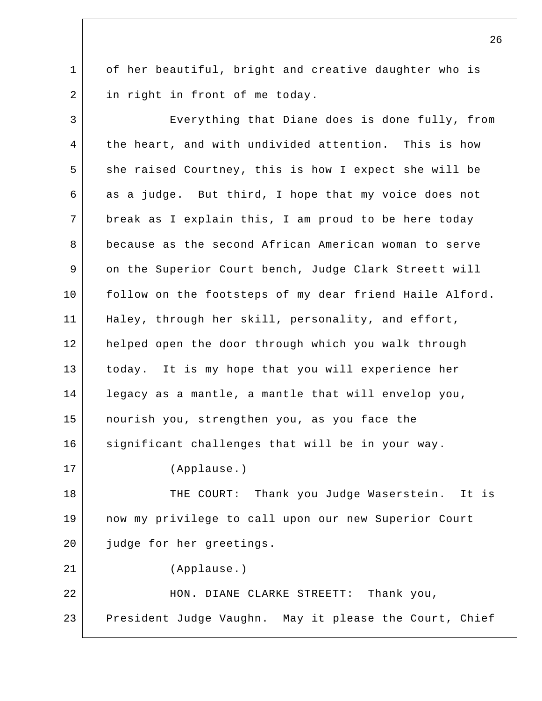1 2 of her beautiful, bright and creative daughter who is in right in front of me today.

3 4 5 6 7 8 9 10 11 12 13 14 15 16 17 18 19 20 21 22 23 Everything that Diane does is done fully, from the heart, and with undivided attention. This is how she raised Courtney, this is how I expect she will be as a judge. But third, I hope that my voice does not break as I explain this, I am proud to be here today because as the second African American woman to serve on the Superior Court bench, Judge Clark Streett will follow on the footsteps of my dear friend Haile Alford. Haley, through her skill, personality, and effort, helped open the door through which you walk through today. It is my hope that you will experience her legacy as a mantle, a mantle that will envelop you, nourish you, strengthen you, as you face the significant challenges that will be in your way. (Applause.) THE COURT: Thank you Judge Waserstein. It is now my privilege to call upon our new Superior Court judge for her greetings. (Applause.) HON. DIANE CLARKE STREETT: Thank you, President Judge Vaughn. May it please the Court, Chief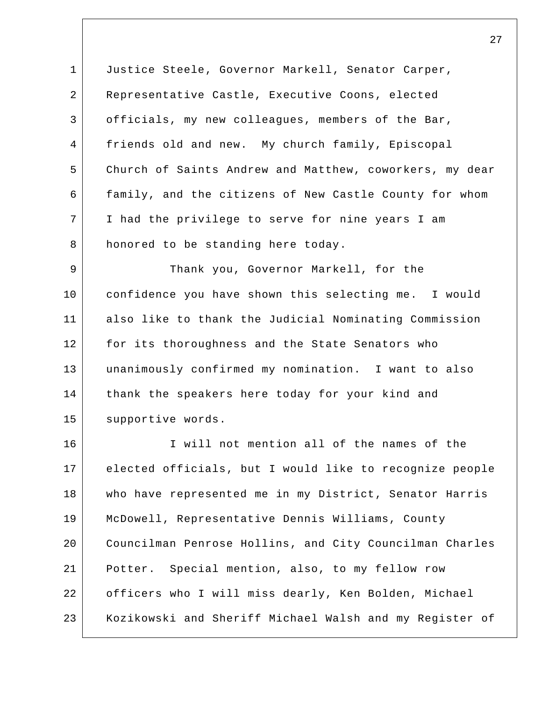1 2 3 4 5 6 7 8 Justice Steele, Governor Markell, Senator Carper, Representative Castle, Executive Coons, elected officials, my new colleagues, members of the Bar, friends old and new. My church family, Episcopal Church of Saints Andrew and Matthew, coworkers, my dear family, and the citizens of New Castle County for whom I had the privilege to serve for nine years I am honored to be standing here today.

9 10 11 12 13 14 15 Thank you, Governor Markell, for the confidence you have shown this selecting me. I would also like to thank the Judicial Nominating Commission for its thoroughness and the State Senators who unanimously confirmed my nomination. I want to also thank the speakers here today for your kind and supportive words.

16 17 18 19 20 21 22 23 I will not mention all of the names of the elected officials, but I would like to recognize people who have represented me in my District, Senator Harris McDowell, Representative Dennis Williams, County Councilman Penrose Hollins, and City Councilman Charles Potter. Special mention, also, to my fellow row officers who I will miss dearly, Ken Bolden, Michael Kozikowski and Sheriff Michael Walsh and my Register of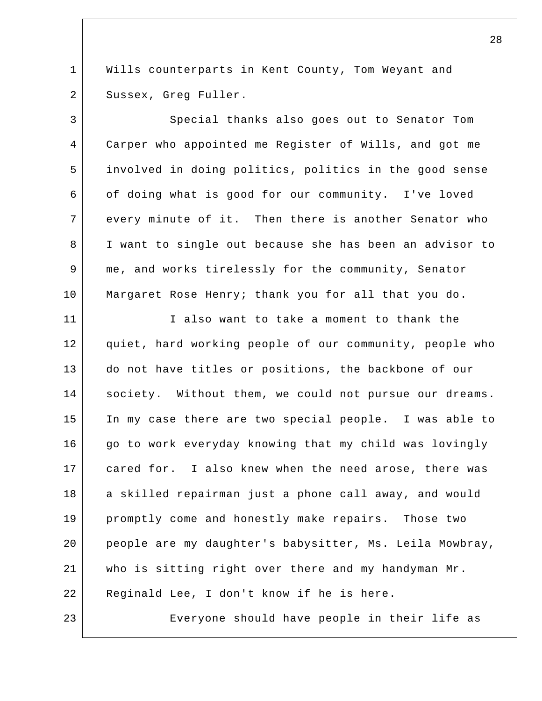1 2 Wills counterparts in Kent County, Tom Weyant and Sussex, Greg Fuller.

3 4 5 6 7 8 9 10 Special thanks also goes out to Senator Tom Carper who appointed me Register of Wills, and got me involved in doing politics, politics in the good sense of doing what is good for our community. I've loved every minute of it. Then there is another Senator who I want to single out because she has been an advisor to me, and works tirelessly for the community, Senator Margaret Rose Henry; thank you for all that you do.

11 12 13 14 15 16 17 18 19 20 21 22 I also want to take a moment to thank the quiet, hard working people of our community, people who do not have titles or positions, the backbone of our society. Without them, we could not pursue our dreams. In my case there are two special people. I was able to go to work everyday knowing that my child was lovingly cared for. I also knew when the need arose, there was a skilled repairman just a phone call away, and would promptly come and honestly make repairs. Those two people are my daughter's babysitter, Ms. Leila Mowbray, who is sitting right over there and my handyman Mr. Reginald Lee, I don't know if he is here.

23

Everyone should have people in their life as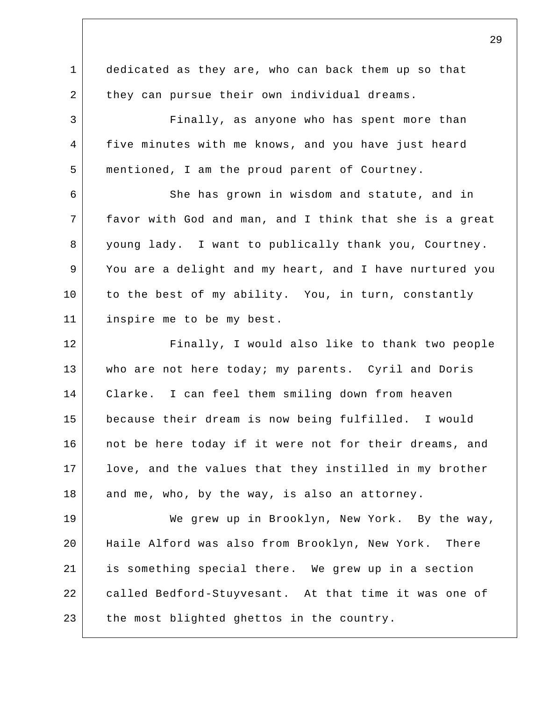1 2 3 4 5 6 7 8 9 10 11 12 13 14 15 16 17 18 19 20 21 22 23 dedicated as they are, who can back them up so that they can pursue their own individual dreams. Finally, as anyone who has spent more than five minutes with me knows, and you have just heard mentioned, I am the proud parent of Courtney. She has grown in wisdom and statute, and in favor with God and man, and I think that she is a great young lady. I want to publically thank you, Courtney. You are a delight and my heart, and I have nurtured you to the best of my ability. You, in turn, constantly inspire me to be my best. Finally, I would also like to thank two people who are not here today; my parents. Cyril and Doris Clarke. I can feel them smiling down from heaven because their dream is now being fulfilled. I would not be here today if it were not for their dreams, and love, and the values that they instilled in my brother and me, who, by the way, is also an attorney. We grew up in Brooklyn, New York. By the way, Haile Alford was also from Brooklyn, New York. There is something special there. We grew up in a section called Bedford-Stuyvesant. At that time it was one of the most blighted ghettos in the country.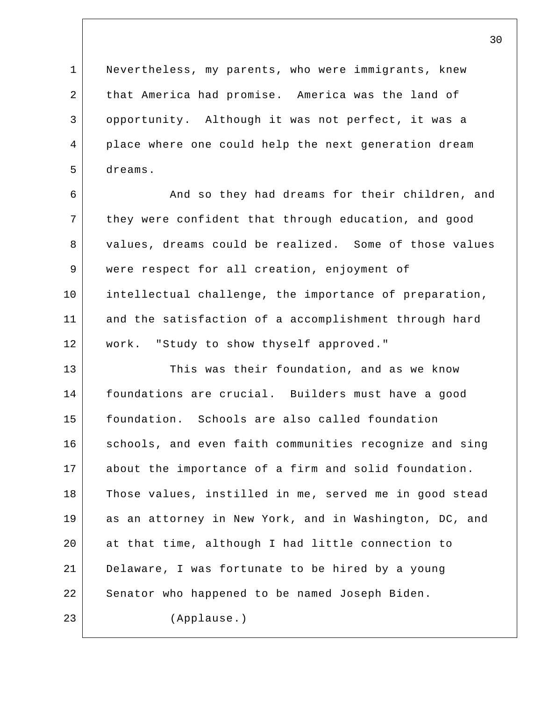1 2 3 4 5 Nevertheless, my parents, who were immigrants, knew that America had promise. America was the land of opportunity. Although it was not perfect, it was a place where one could help the next generation dream dreams.

6 7 8 9 10 11 12 And so they had dreams for their children, and they were confident that through education, and good values, dreams could be realized. Some of those values were respect for all creation, enjoyment of intellectual challenge, the importance of preparation, and the satisfaction of a accomplishment through hard work. "Study to show thyself approved."

13 14 15 16 17 18 19 20 21 22 23 This was their foundation, and as we know foundations are crucial. Builders must have a good foundation. Schools are also called foundation schools, and even faith communities recognize and sing about the importance of a firm and solid foundation. Those values, instilled in me, served me in good stead as an attorney in New York, and in Washington, DC, and at that time, although I had little connection to Delaware, I was fortunate to be hired by a young Senator who happened to be named Joseph Biden. (Applause.)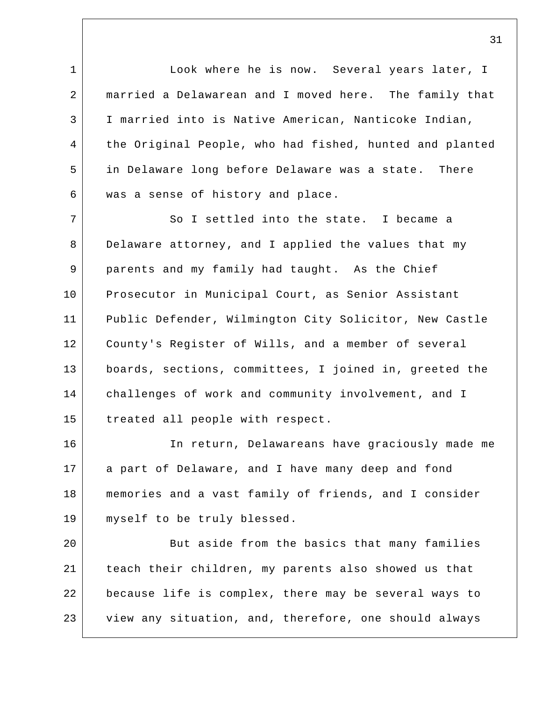1 2 3 4 5 6 Look where he is now. Several years later, I married a Delawarean and I moved here. The family that I married into is Native American, Nanticoke Indian, the Original People, who had fished, hunted and planted in Delaware long before Delaware was a state. There was a sense of history and place.

7 8 9 10 11 12 13 14 15 So I settled into the state. I became a Delaware attorney, and I applied the values that my parents and my family had taught. As the Chief Prosecutor in Municipal Court, as Senior Assistant Public Defender, Wilmington City Solicitor, New Castle County's Register of Wills, and a member of several boards, sections, committees, I joined in, greeted the challenges of work and community involvement, and I treated all people with respect.

16 17 18 19 In return, Delawareans have graciously made me a part of Delaware, and I have many deep and fond memories and a vast family of friends, and I consider myself to be truly blessed.

20 21 22 23 But aside from the basics that many families teach their children, my parents also showed us that because life is complex, there may be several ways to view any situation, and, therefore, one should always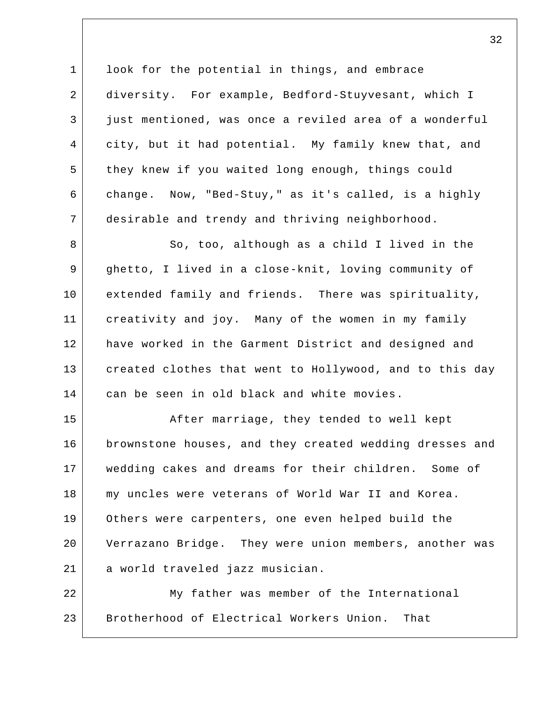1 2 3 4 5 6 7 look for the potential in things, and embrace diversity. For example, Bedford-Stuyvesant, which I just mentioned, was once a reviled area of a wonderful city, but it had potential. My family knew that, and they knew if you waited long enough, things could change. Now, "Bed-Stuy," as it's called, is a highly desirable and trendy and thriving neighborhood.

8 9 10 11 12 13 14 So, too, although as a child I lived in the ghetto, I lived in a close-knit, loving community of extended family and friends. There was spirituality, creativity and joy. Many of the women in my family have worked in the Garment District and designed and created clothes that went to Hollywood, and to this day can be seen in old black and white movies.

15 16 17 18 19 20 21 After marriage, they tended to well kept brownstone houses, and they created wedding dresses and wedding cakes and dreams for their children. Some of my uncles were veterans of World War II and Korea. Others were carpenters, one even helped build the Verrazano Bridge. They were union members, another was a world traveled jazz musician.

22 23 My father was member of the International Brotherhood of Electrical Workers Union. That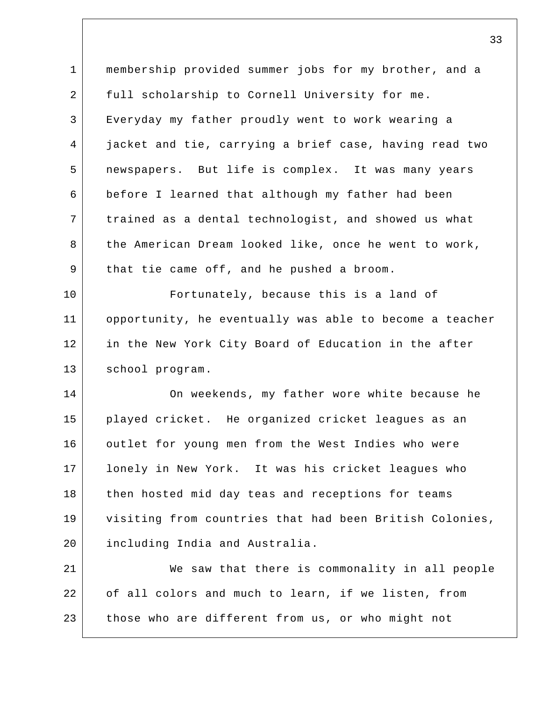1 2 3 4 5 6 7 8 9 10 11 12 13 14 15 16 17 18 19 20 21 22 23 membership provided summer jobs for my brother, and a full scholarship to Cornell University for me. Everyday my father proudly went to work wearing a jacket and tie, carrying a brief case, having read two newspapers. But life is complex. It was many years before I learned that although my father had been trained as a dental technologist, and showed us what the American Dream looked like, once he went to work, that tie came off, and he pushed a broom. Fortunately, because this is a land of opportunity, he eventually was able to become a teacher in the New York City Board of Education in the after school program. On weekends, my father wore white because he played cricket. He organized cricket leagues as an outlet for young men from the West Indies who were lonely in New York. It was his cricket leagues who then hosted mid day teas and receptions for teams visiting from countries that had been British Colonies, including India and Australia. We saw that there is commonality in all people of all colors and much to learn, if we listen, from those who are different from us, or who might not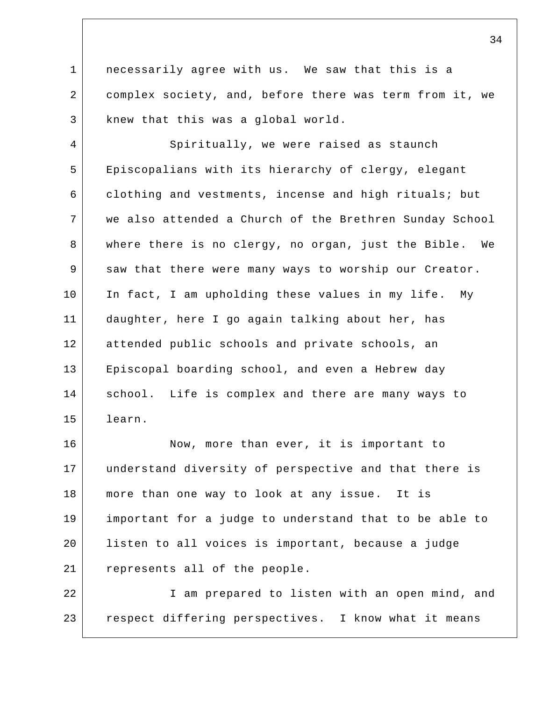1 2 3 necessarily agree with us. We saw that this is a complex society, and, before there was term from it, we knew that this was a global world.

4 5 6 7 8 9 10 11 12 13 14 15 Spiritually, we were raised as staunch Episcopalians with its hierarchy of clergy, elegant clothing and vestments, incense and high rituals; but we also attended a Church of the Brethren Sunday School where there is no clergy, no organ, just the Bible. We saw that there were many ways to worship our Creator. In fact, I am upholding these values in my life. My daughter, here I go again talking about her, has attended public schools and private schools, an Episcopal boarding school, and even a Hebrew day school. Life is complex and there are many ways to learn.

16 17 18 19 20 21 Now, more than ever, it is important to understand diversity of perspective and that there is more than one way to look at any issue. It is important for a judge to understand that to be able to listen to all voices is important, because a judge represents all of the people.

22 23 I am prepared to listen with an open mind, and respect differing perspectives. I know what it means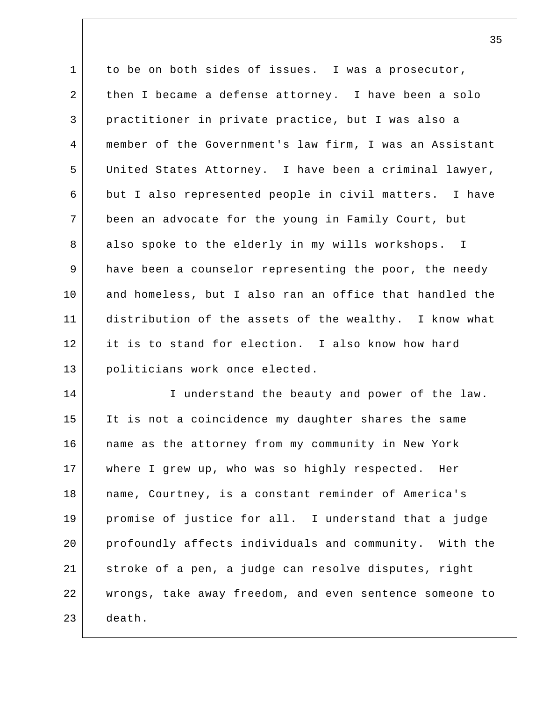1 2 3 4 5 6 7 8 9 10 11 12 13 to be on both sides of issues. I was a prosecutor, then I became a defense attorney. I have been a solo practitioner in private practice, but I was also a member of the Government's law firm, I was an Assistant United States Attorney. I have been a criminal lawyer, but I also represented people in civil matters. I have been an advocate for the young in Family Court, but also spoke to the elderly in my wills workshops. I have been a counselor representing the poor, the needy and homeless, but I also ran an office that handled the distribution of the assets of the wealthy. I know what it is to stand for election. I also know how hard politicians work once elected.

14 15 16 17 18 19 20 21 22 23 I understand the beauty and power of the law. It is not a coincidence my daughter shares the same name as the attorney from my community in New York where I grew up, who was so highly respected. Her name, Courtney, is a constant reminder of America's promise of justice for all. I understand that a judge profoundly affects individuals and community. With the stroke of a pen, a judge can resolve disputes, right wrongs, take away freedom, and even sentence someone to death.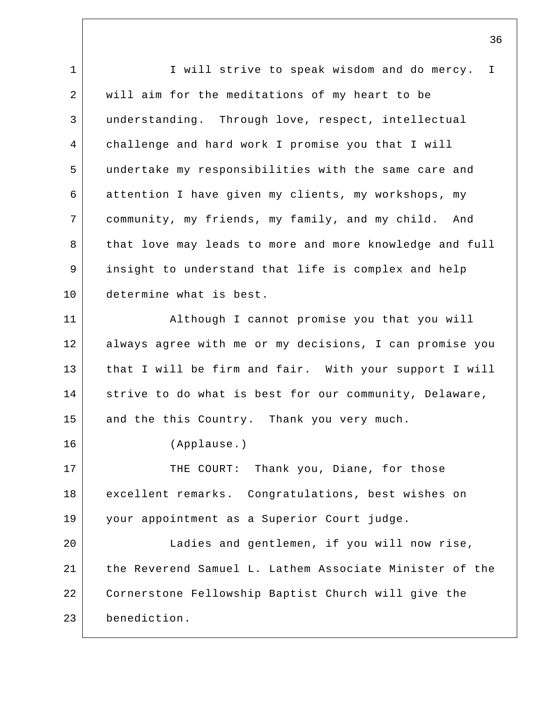1 2 3 4 5 6 7 8 9 10 11 12 13 14 15 16 17 18 19 20 21 22 23 I will strive to speak wisdom and do mercy. I will aim for the meditations of my heart to be understanding. Through love, respect, intellectual challenge and hard work I promise you that I will undertake my responsibilities with the same care and attention I have given my clients, my workshops, my community, my friends, my family, and my child. And that love may leads to more and more knowledge and full insight to understand that life is complex and help determine what is best. Although I cannot promise you that you will always agree with me or my decisions, I can promise you that I will be firm and fair. With your support I will strive to do what is best for our community, Delaware, and the this Country. Thank you very much. (Applause.) THE COURT: Thank you, Diane, for those excellent remarks. Congratulations, best wishes on your appointment as a Superior Court judge. Ladies and gentlemen, if you will now rise, the Reverend Samuel L. Lathem Associate Minister of the Cornerstone Fellowship Baptist Church will give the benediction.